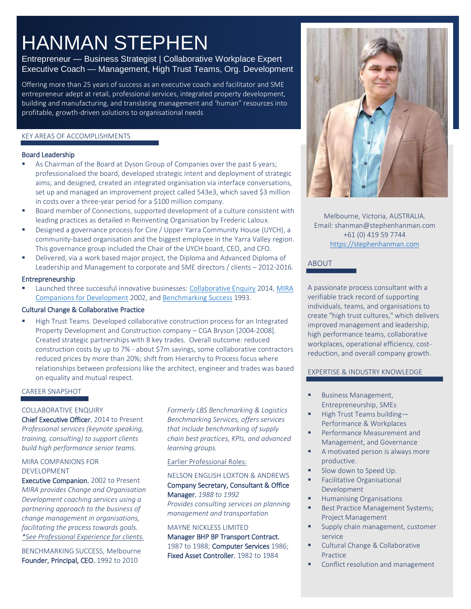# HANMAN STEPHEN

# Entrepreneur — Business Strategist | Collaborative Workplace Expert Executive Coach — Management, High Trust Teams, Org. Development

Offering more than 25 years of success as an executive coach and facilitator and SME entrepreneur adept at retail, professional services, integrated property development, building and manufacturing, and translating management and 'human" resources into profitable, growth-driven solutions to organisational needs

#### KEY AREAS OF ACCOMPLISHMENTS

#### Board Leadership

- As Chairman of the Board at Dyson Group of Companies over the past 6 years; professionalised the board, developed strategic intent and deployment of strategic aims; and designed, created an integrated organisation via interface conversations, set up and managed an improvement project called 543e3, which saved \$3 million in costs over a three-year period for a \$100 million company.
- Board member of Connections, supported development of a culture consistent with leading practices as detailed in Reinventing Organisation by Frederic Laloux.
- **E** Designed a governance process for Cire / Upper Yarra Community House (UYCH), a community-based organisation and the biggest employee in the Yarra Valley region. This governance group included the Chair of the UYCH board, CEO, and CFO.
- Delivered, via a work based major project, the Diploma and Advanced Diploma of Leadership and Management to corporate and SME directors / clients – 2012-2016.

#### Entrepreneurship

**EXECT** Launched three successful innovative businesses: [Collaborative Enquiry](https://collaborativeenquiry.com/) 2014, MIRA [Companions for Development](http://www.miracompanions.com.au/) 2002, an[d Benchmarking Success](https://www.benchmarkingsuccess.com/) 1993.

#### Cultural Change & Collaborative Practice

**EXECT** High Trust Teams. Developed collaborative construction process for an Integrated Property Development and Construction company – CGA Bryson [2004-2008]. Created strategic partnerships with 8 key trades. Overall outcome: reduced construction costs by up to 7% - about \$7m savings, some collaborative contractors reduced prices by more than 20%; shift from Hierarchy to Process focus where relationships between professions like the architect, engineer and trades was based on equality and mutual respect.

# CAREER SNAPSHOT

#### COLLABORATIVE ENQUIRY

Chief Executive Officer. 2014 to Present *Professional services (keynote speaking, training, consulting) to support clients build high performance senior teams.*

#### MIRA COMPANIONS FOR DEVELOPMENT

Executive Companion. 2002 to Present *MIRA provides Change and Organisation Development coaching services using a partnering approach to the business of change management in organisations, facilitating the process towards goals. \*See Professional Experience for clients.*

BENCHMARKING SUCCESS, Melbourne Founder, Principal, CEO. 1992 to 2010

*Formerly LBS Benchmarking & Logistics Benchmarking Services, offers services that include benchmarking of supply chain best practices, KPIs, and advanced learning groups.*

#### Earlier Professional Roles:

#### NELSON ENGLISH LOXTON & ANDREWS Company Secretary, Consultant & Office Manager. *1988 to 1992*

*Provides consulting services on planning management and transportation*

# MAYNE NICKLESS LIMITED

Manager BHP BP Transport Contract. 1987 to 1988; Computer Services 1986; Fixed Asset Controller. 1982 to 1984



Melbourne, Victoria, AUSTRALIA. Email: shanman@stephenhanman.com +61 (0) 419 59 7744 [https://stephenhanman.com](https://stephenhanman.com/)

# ABOUT

A passionate process consultant with a verifiable track record of supporting individuals, teams, and organisations to create "high trust cultures," which delivers improved management and leadership, high performance teams, collaborative workplaces, operational efficiency, costreduction, and overall company growth.

# EXPERTISE & INDUSTRY KNOWLEDGE

- Business Management, Entrepreneurship, SMEs
- High Trust Teams building-Performance & Workplaces
- Performance Measurement and Management, and Governance
- A motivated person is always more productive.
- Slow down to Speed Up.
- Facilitative Organisational Development
- **Humanising Organisations**
- Best Practice Management Systems; Project Management
- Supply chain management, customer service
- Cultural Change & Collaborative Practice
- Conflict resolution and management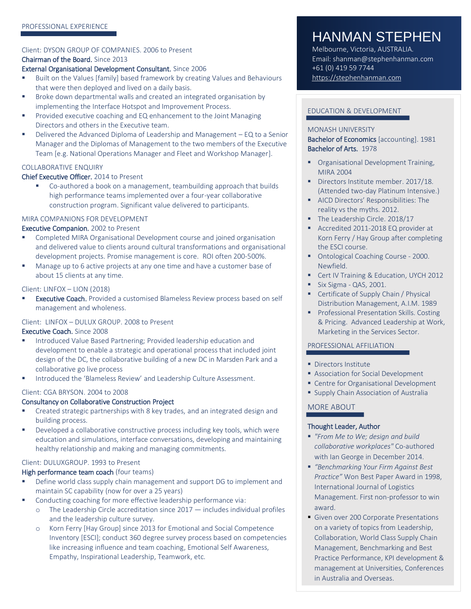#### Client: DYSON GROUP OF COMPANIES. 2006 to Present Chairman of the Board. Since 2013

#### External Organisational Development Consultant. Since 2006

- Built on the Values [family] based framework by creating Values and Behaviours that were then deployed and lived on a daily basis.
- Broke down departmental walls and created an integrated organisation by implementing the Interface Hotspot and Improvement Process.
- Provided executive coaching and EQ enhancement to the Joint Managing Directors and others in the Executive team.
- Delivered the Advanced Diploma of Leadership and Management EQ to a Senior Manager and the Diplomas of Management to the two members of the Executive Team [e.g. National Operations Manager and Fleet and Workshop Manager].

# COLLABORATIVE ENQUIRY

#### Chief Executive Officer. 2014 to Present

Co-authored a book on a management, teambuilding approach that builds high performance teams implemented over a four-year collaborative construction program. Significant value delivered to participants.

#### MIRA COMPANIONS FOR DEVELOPMENT

#### Executive Companion. 2002 to Present

- Completed MIRA Organisational Development course and joined organisation and delivered value to clients around cultural transformations and organisational development projects. Promise management is core. ROI often 200-500%.
- Manage up to 6 active projects at any one time and have a customer base of about 15 clients at any time.

#### Client: LINFOX – LION (2018)

**Executive Coach.** Provided a customised Blameless Review process based on self management and wholeness.

#### Client: LINFOX – DULUX GROUP. 2008 to Present

#### Executive Coach. Since 2008

- Introduced Value Based Partnering; Provided leadership education and development to enable a strategic and operational process that included joint design of the DC, the collaborative building of a new DC in Marsden Park and a collaborative go live process
- Introduced the 'Blameless Review' and Leadership Culture Assessment.

#### Client: CGA BRYSON. 2004 to 2008

#### Consultancy on Collaborative Construction Project

- Created strategic partnerships with 8 key trades, and an integrated design and building process.
- **•** Developed a collaborative constructive process including key tools, which were education and simulations, interface conversations, developing and maintaining healthy relationship and making and managing commitments.

#### Client: DULUXGROUP. 1993 to Present

#### High performance team coach (four teams)

- Define world class supply chain management and support DG to implement and maintain SC capability (now for over a 25 years)
- Conducting coaching for more effective leadership performance via:
	- $\circ$  The Leadership Circle accreditation since 2017  $-$  includes individual profiles and the leadership culture survey.
	- o Korn Ferry [Hay Group] since 2013 for Emotional and Social Competence Inventory [ESCI]; conduct 360 degree survey process based on competencies like increasing influence and team coaching, Emotional Self Awareness, Empathy, Inspirational Leadership, Teamwork, etc.

# HANMAN STEPHEN

Melbourne, Victoria, AUSTRALIA. Email: shanman@stephenhanman.com +61 (0) 419 59 7744 [https://stephenhanman.com](https://stephenhanman.com/)

### EDUCATION & DEVELOPMENT

#### MONASH UNIVERSITY

Bachelor of Economics [accounting]. 1981 Bachelor of Arts. 1978

- **Organisational Development Training,** MIRA 2004
- Directors Institute member. 2017/18. (Attended two-day Platinum Intensive.)
- AICD Directors' Responsibilities: The reality vs the myths. 2012.
- The Leadership Circle. 2018/17
- Accredited 2011-2018 EQ provider at Korn Ferry / Hay Group after completing the ESCI course.
- Ontological Coaching Course 2000. Newfield.
- Cert IV Training & Education, UYCH 2012
- **E** Six Sigma QAS, 2001.
- Certificate of Supply Chain / Physical Distribution Management, A.I.M. 1989
- Professional Presentation Skills. Costing & Pricing. Advanced Leadership at Work, Marketing in the Services Sector.

#### PROFESSIONAL AFFILIATION

- **·** Directors Institute
- **EXEC** Association for Social Development
- **EX Centre for Organisational Development**
- **E** Supply Chain Association of Australia

# MORE ABOUT

#### Thought Leader, Author

- *"From Me to We; design and build collaborative workplaces"* Co-authored with Ian George in December 2014.
- *"Benchmarking Your Firm Against Best Practice"* Won Best Paper Award in 1998, International Journal of Logistics Management. First non-professor to win award.
- Given over 200 Corporate Presentations on a variety of topics from Leadership, Collaboration, World Class Supply Chain Management, Benchmarking and Best Practice Performance, KPI development & management at Universities, Conferences in Australia and Overseas.